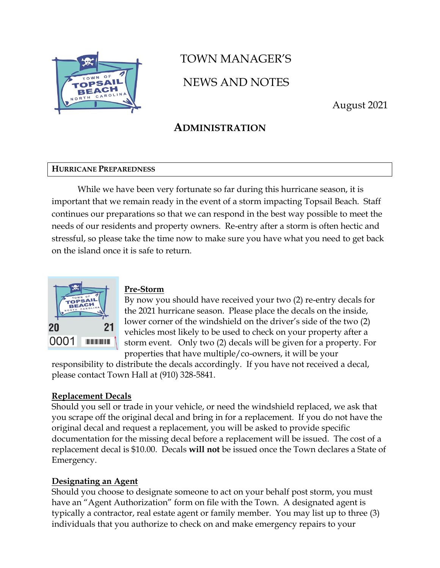

# TOWN MANAGER'S NEWS AND NOTES

August 2021

### **ADMINISTRATION**

### **HURRICANE PREPAREDNESS**

While we have been very fortunate so far during this hurricane season, it is important that we remain ready in the event of a storm impacting Topsail Beach. Staff continues our preparations so that we can respond in the best way possible to meet the needs of our residents and property owners. Re-entry after a storm is often hectic and stressful, so please take the time now to make sure you have what you need to get back on the island once it is safe to return.



### **Pre-Storm**

By now you should have received your two (2) re-entry decals for the 2021 hurricane season. Please place the decals on the inside, lower corner of the windshield on the driver's side of the two (2) vehicles most likely to be used to check on your property after a storm event. Only two (2) decals will be given for a property. For properties that have multiple/co-owners, it will be your

responsibility to distribute the decals accordingly. If you have not received a decal, please contact Town Hall at (910) 328-5841.

### **Replacement Decals**

Should you sell or trade in your vehicle, or need the windshield replaced, we ask that you scrape off the original decal and bring in for a replacement. If you do not have the original decal and request a replacement, you will be asked to provide specific documentation for the missing decal before a replacement will be issued. The cost of a replacement decal is \$10.00. Decals **will not** be issued once the Town declares a State of Emergency.

### **Designating an Agent**

Should you choose to designate someone to act on your behalf post storm, you must have an "Agent Authorization" form on file with the Town. A designated agent is typically a contractor, real estate agent or family member. You may list up to three (3) individuals that you authorize to check on and make emergency repairs to your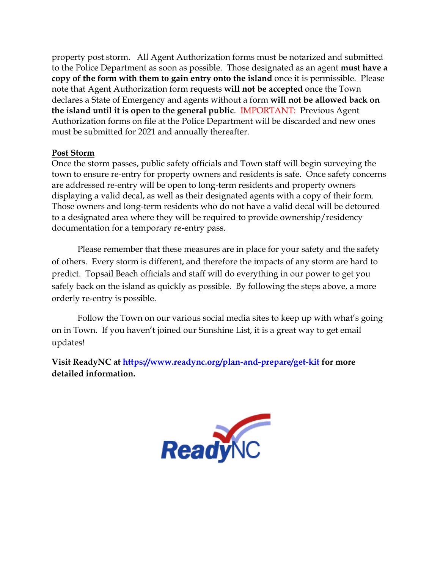property post storm. All Agent Authorization forms must be notarized and submitted to the Police Department as soon as possible. Those designated as an agent **must have a copy of the form with them to gain entry onto the island** once it is permissible. Please note that Agent Authorization form requests **will not be accepted** once the Town declares a State of Emergency and agents without a form **will not be allowed back on the island until it is open to the general public**. IMPORTANT: Previous Agent Authorization forms on file at the Police Department will be discarded and new ones must be submitted for 2021 and annually thereafter.

### **Post Storm**

Once the storm passes, public safety officials and Town staff will begin surveying the town to ensure re-entry for property owners and residents is safe. Once safety concerns are addressed re-entry will be open to long-term residents and property owners displaying a valid decal, as well as their designated agents with a copy of their form. Those owners and long-term residents who do not have a valid decal will be detoured to a designated area where they will be required to provide ownership/residency documentation for a temporary re-entry pass.

Please remember that these measures are in place for your safety and the safety of others. Every storm is different, and therefore the impacts of any storm are hard to predict. Topsail Beach officials and staff will do everything in our power to get you safely back on the island as quickly as possible. By following the steps above, a more orderly re-entry is possible.

Follow the Town on our various social media sites to keep up with what's going on in Town. If you haven't joined our Sunshine List, it is a great way to get email updates!

**Visit ReadyNC at<https://www.readync.org/plan-and-prepare/get-kit> for more detailed information.**

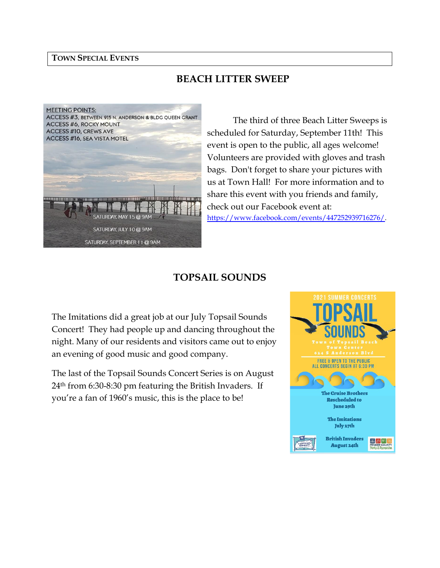#### **TOWN SPECIAL EVENTS**

### **BEACH LITTER SWEEP**



The third of three Beach Litter Sweeps is scheduled for Saturday, September 11th! This event is open to the public, all ages welcome! Volunteers are provided with gloves and trash bags. Don't forget to share your pictures with us at Town Hall! For more information and to share this event with you friends and family, check out our Facebook event at: [https://www.facebook.com/events/447252939716276/.](https://www.facebook.com/events/447252939716276/)

### **TOPSAIL SOUNDS**

The Imitations did a great job at our July Topsail Sounds Concert! They had people up and dancing throughout the night. Many of our residents and visitors came out to enjoy an evening of good music and good company.

The last of the Topsail Sounds Concert Series is on August 24th from 6:30-8:30 pm featuring the British Invaders. If you're a fan of 1960's music, this is the place to be!

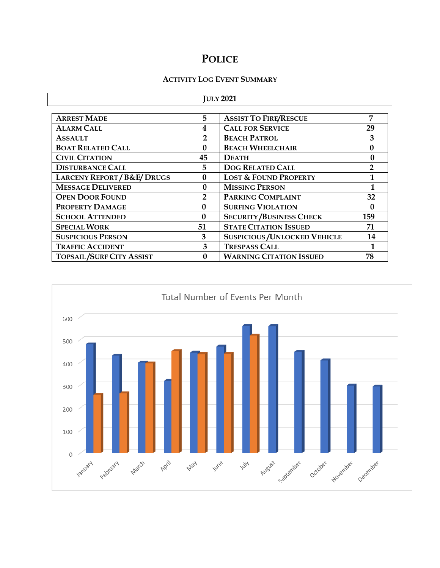# **POLICE**

### **ACTIVITY LOG EVENT SUMMARY**

| <b>JULY 2021</b>                |                |                                          |                |  |  |
|---------------------------------|----------------|------------------------------------------|----------------|--|--|
| <b>ARREST MADE</b>              | 5              | <b>ASSIST TO FIRE/RESCUE</b>             | 7              |  |  |
| <b>ALARM CALL</b>               | 4              | <b>CALL FOR SERVICE</b><br>29            |                |  |  |
| <b>ASSAULT</b>                  | $\overline{2}$ | <b>BEACH PATROL</b>                      | 3              |  |  |
| <b>BOAT RELATED CALL</b>        | $\mathbf{0}$   | <b>BEACH WHEELCHAIR</b>                  | $\mathbf{0}$   |  |  |
| <b>CIVIL CITATION</b>           | 45             | <b>DEATH</b>                             | 0              |  |  |
| <b>DISTURBANCE CALL</b>         | 5              | <b>DOG RELATED CALL</b>                  | $\overline{2}$ |  |  |
| LARCENY REPORT / B&E/ DRUGS     | $\bf{0}$       | <b>LOST &amp; FOUND PROPERTY</b>         | 1              |  |  |
| <b>MESSAGE DELIVERED</b>        | $\mathbf{0}$   | <b>MISSING PERSON</b>                    |                |  |  |
| <b>OPEN DOOR FOUND</b>          | $\overline{2}$ | <b>PARKING COMPLAINT</b>                 | 32             |  |  |
| <b>PROPERTY DAMAGE</b>          | $\Omega$       | <b>SURFING VIOLATION</b>                 | $\Omega$       |  |  |
| <b>SCHOOL ATTENDED</b>          | $\mathbf{0}$   | <b>SECURITY/BUSINESS CHECK</b>           | 159            |  |  |
| <b>SPECIAL WORK</b>             | 51             | <b>STATE CITATION ISSUED</b><br>71       |                |  |  |
| <b>SUSPICIOUS PERSON</b>        | 3              | <b>SUSPICIOUS/UNLOCKED VEHICLE</b><br>14 |                |  |  |
| <b>TRAFFIC ACCIDENT</b>         | 3              | <b>TRESPASS CALL</b>                     |                |  |  |
| <b>TOPSAIL/SURF CITY ASSIST</b> | 0              | <b>WARNING CITATION ISSUED</b><br>78     |                |  |  |

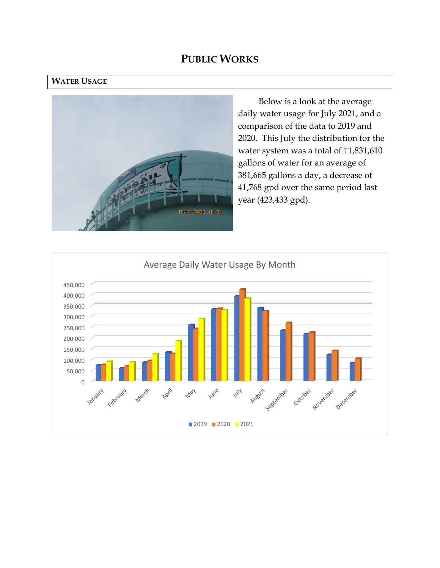### **PUBLIC WORKS**

### **WATER USAGE**



Below is a look at the average daily water usage for July 2021, and a comparison of the data to 2019 and 2020. This July the distribution for the water system was a total of 11,831,610 gallons of water for an average of 381,665 gallons a day, a decrease of 41,768 gpd over the same period last year (423,433 gpd).

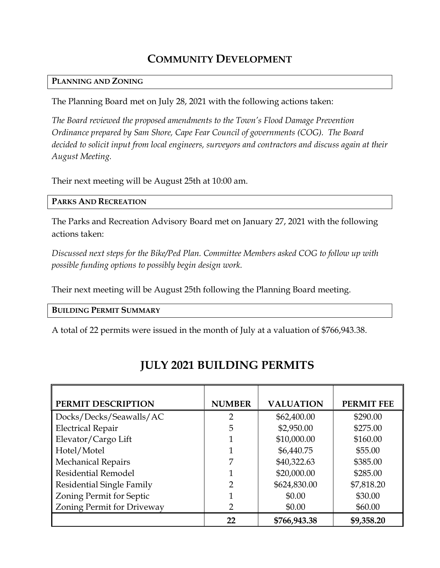# **COMMUNITY DEVELOPMENT**

### **PLANNING AND ZONING**

The Planning Board met on July 28, 2021 with the following actions taken:

*The Board reviewed the proposed amendments to the Town's Flood Damage Prevention Ordinance prepared by Sam Shore, Cape Fear Council of governments (COG). The Board decided to solicit input from local engineers, surveyors and contractors and discuss again at their August Meeting.*

Their next meeting will be August 25th at 10:00 am.

### **PARKS AND RECREATION**

The Parks and Recreation Advisory Board met on January 27, 2021 with the following actions taken:

*Discussed next steps for the Bike/Ped Plan. Committee Members asked COG to follow up with possible funding options to possibly begin design work.*

Their next meeting will be August 25th following the Planning Board meeting.

**BUILDING PERMIT SUMMARY**

A total of 22 permits were issued in the month of July at a valuation of \$766,943.38.

| PERMIT DESCRIPTION         | <b>NUMBER</b> | <b>VALUATION</b> | <b>PERMIT FEE</b> |
|----------------------------|---------------|------------------|-------------------|
| Docks/Decks/Seawalls/AC    | 2             | \$62,400.00      | \$290.00          |
| <b>Electrical Repair</b>   | 5             | \$2,950.00       | \$275.00          |
| Elevator/Cargo Lift        |               | \$10,000.00      | \$160.00          |
| Hotel/Motel                |               | \$6,440.75       | \$55.00           |
| <b>Mechanical Repairs</b>  | 7             | \$40,322.63      | \$385.00          |
| Residential Remodel        | 1             | \$20,000.00      | \$285.00          |
| Residential Single Family  | 2             | \$624,830.00     | \$7,818.20        |
| Zoning Permit for Septic   |               | \$0.00           | \$30.00           |
| Zoning Permit for Driveway | 2             | \$0.00           | \$60.00           |
|                            | 22            | \$766,943.38     | \$9,358.20        |

# **JULY 2021 BUILDING PERMITS**